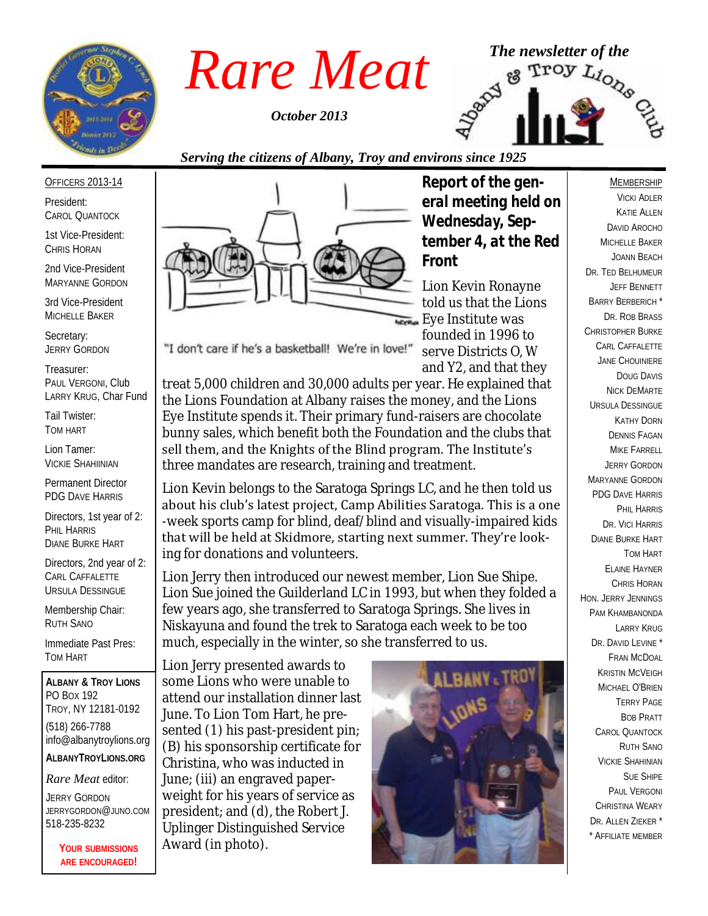

*October 2013*



#### *Serving the citizens of Albany, Troy and environs since 1925*

#### OFFICERS 2013-14

President: CAROL QUANTOCK

1st Vice-President: CHRIS HORAN

2nd Vice-President MARYANNE GORDON

3rd Vice-President MICHELLE BAKER

Secretary: JERRY GORDON

Treasurer: PAUL VERGONI, Club LARRY KRUG, Char Fund

Tail Twister: TOM HART

Lion Tamer: VICKIE SHAHIINIAN

Permanent Director PDG DAVE HARRIS

Directors, 1st year of 2: PHIL HARRIS DIANE BURKE HART

Directors, 2nd year of 2: CARL CAFFALETTE URSULA DESSINGUE

Membership Chair: RUTH SANO

Immediate Past Pres: TOM HART

**ALBANY & TROY LIONS** PO BOX 192 TROY, NY 12181-0192 (518) 266-7788 info@albanytroylions.org **ALBANYTROYLIONS.ORG**

*Rare Meat* editor:

JERRY GORDON JERRYGORDON@JUNO.COM 518-235-8232

> **YOUR SUBMISSIONS ARE ENCOURAGED!**



*Report of the general meeting held on Wednesday, September 4, at the Red Front* 

Lion Kevin Ronayne told us that the Lions **Eye Institute was** founded in 1996 to serve Districts O, W and Y2, and that they

"I don't care if he's a basketball! We're in love!"

treat 5,000 children and 30,000 adults per year. He explained that the Lions Foundation at Albany raises the money, and the Lions Eye Institute spends it. Their primary fund-raisers are chocolate bunny sales, which benefit both the Foundation and the clubs that sell them, and the Knights of the Blind program. The Institute's three mandates are research, training and treatment.

Lion Kevin belongs to the Saratoga Springs LC, and he then told us about his club's latest project, Camp Abilities Saratoga. This is a one -week sports camp for blind, deaf/blind and visually-impaired kids that will be held at Skidmore, starting next summer. They're looking for donations and volunteers.

Lion Jerry then introduced our newest member, Lion Sue Shipe. Lion Sue joined the Guilderland LC in 1993, but when they folded a few years ago, she transferred to Saratoga Springs. She lives in Niskayuna and found the trek to Saratoga each week to be too much, especially in the winter, so she transferred to us.

Lion Jerry presented awards to some Lions who were unable to attend our installation dinner last June. To Lion Tom Hart, he presented (1) his past-president pin; (B) his sponsorship certificate for Christina, who was inducted in June; (iii) an engraved paperweight for his years of service as president; and (d), the Robert J. Uplinger Distinguished Service Award (in photo).



#### VICKI ADLER KATIE ALLEN DAVID AROCHO MICHELLE BAKER JOANN BEACH DR. TED BELHUMEUR JEFF BENNETT BARRY BERBERICH \* DR. ROB BRASS CHRISTOPHER BURKE CARL CAFFALETTE JANE CHOUINIERE DOUG DAVIS NICK DEMARTE URSULA DESSINGUE KATHY DORN DENNIS FAGAN **MIKE FARRELL** JERRY GORDON MARYANNE GORDON PDG DAVE HARRIS PHIL HARRIS DR. VICI HARRIS DIANE BURKE HART TOM HART ELAINE HAYNER CHRIS HORAN HON. JERRY JENNINGS PAM KHAMBANONDA LARRY KRUG DR. DAVID LEVINE \* FRAN MCDOAL KRISTIN MCVEIGH MICHAEL O'BRIEN TERRY PAGE BOB PRATT CAROL QUANTOCK RUTH SANO VICKIE SHAHINIAN SUE SHIPE PAUL VERGONI CHRISTINA WEARY DR. ALLEN ZIEKER \* \* AFFILIATE MEMBER

MEMBERSHIP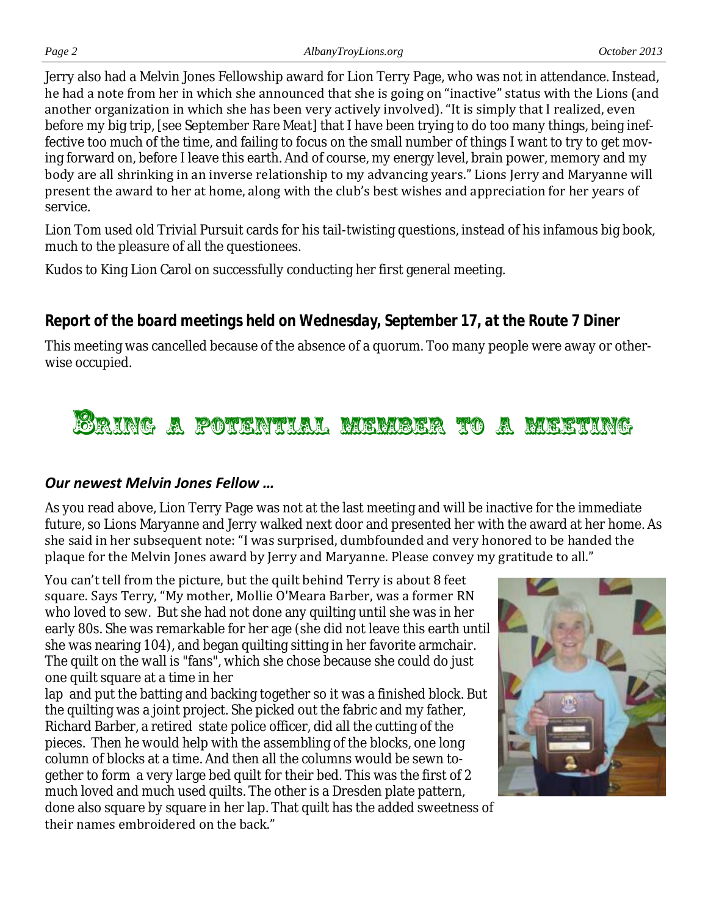Jerry also had a Melvin Jones Fellowship award for Lion Terry Page, who was not in attendance. Instead, he had a note from her in which she announced that she is going on "inactive" status with the Lions (and another organization in which she has been very actively involved). "It is simply that I realized, even before my big trip, [see September *Rare Meat*] that I have been trying to do too many things, being ineffective too much of the time, and failing to focus on the small number of things I want to try to get moving forward on, before I leave this earth. And of course, my energy level, brain power, memory and my body are all shrinking in an inverse relationship to my advancing years." Lions Jerry and Maryanne will present the award to her at home, along with the club's best wishes and appreciation for her years of service.

Lion Tom used old Trivial Pursuit cards for his tail-twisting questions, instead of his infamous big book, much to the pleasure of all the questionees.

Kudos to King Lion Carol on successfully conducting her first general meeting.

# *Report of the board meetings held on Wednesday, September 17, at the Route 7 Diner*

This meeting was cancelled because of the absence of a quorum. Too many people were away or otherwise occupied.

# <u>Eaing a potential member to a meeting</u>

#### *Our newest Melvin Jones Fellow …*

As you read above, Lion Terry Page was not at the last meeting and will be inactive for the immediate future, so Lions Maryanne and Jerry walked next door and presented her with the award at her home. As she said in her subsequent note: "I was surprised, dumbfounded and very honored to be handed the plaque for the Melvin Jones award by Jerry and Maryanne. Please convey my gratitude to all."

You can't tell from the picture, but the quilt behind Terry is about 8 feet square. Says Terry, "My mother, Mollie O'Meara Barber, was a former RN who loved to sew. But she had not done any quilting until she was in her early 80s. She was remarkable for her age (she did not leave this earth until she was nearing 104), and began quilting sitting in her favorite armchair. The quilt on the wall is "fans", which she chose because she could do just one quilt square at a time in her

lap and put the batting and backing together so it was a finished block. But the quilting was a joint project. She picked out the fabric and my father, Richard Barber, a retired state police officer, did all the cutting of the pieces. Then he would help with the assembling of the blocks, one long column of blocks at a time. And then all the columns would be sewn together to form a very large bed quilt for their bed. This was the first of 2 much loved and much used quilts. The other is a Dresden plate pattern, done also square by square in her lap. That quilt has the added sweetness of their names embroidered on the back."

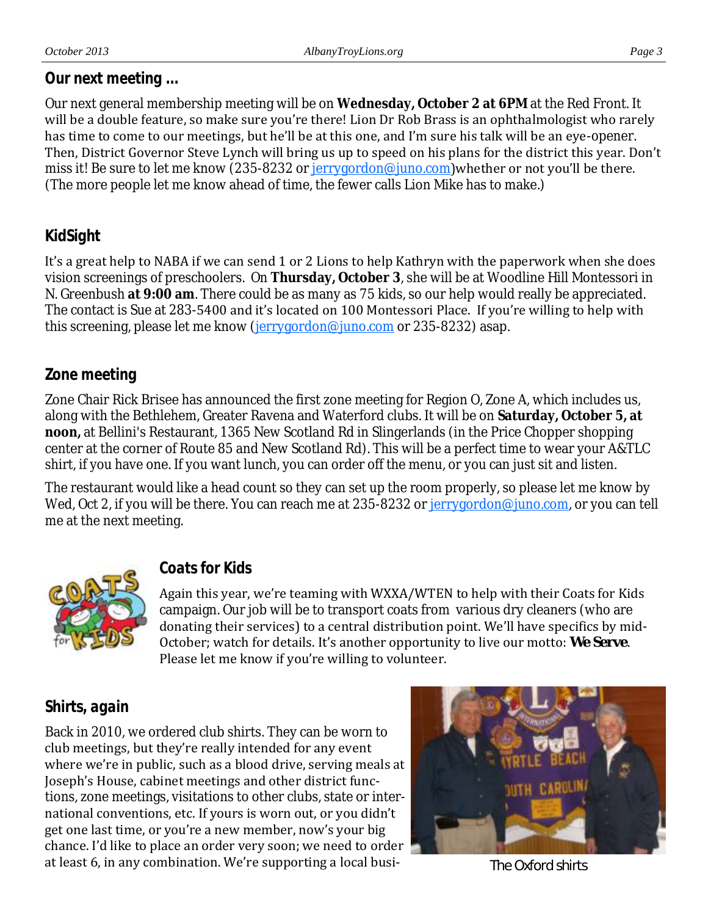#### *Our next meeting ...*

Our next general membership meeting will be on **Wednesday, October 2 at 6PM** at the Red Front. It will be a double feature, so make sure you're there! Lion Dr Rob Brass is an ophthalmologist who rarely has time to come to our meetings, but he'll be at this one, and I'm sure his talk will be an eye-opener. Then, District Governor Steve Lynch will bring us up to speed on his plans for the district this year. Don't miss it! Be sure to let me know (235-8232 or <u>jerrygordon@juno.com</u>)whether or not you'll be there. (The more people let me know ahead of time, the fewer calls Lion Mike has to make.)

### *KidSight*

It's a great help to NABA if we can send 1 or 2 Lions to help Kathryn with the paperwork when she does vision screenings of preschoolers. On **Thursday, October 3**, she will be at Woodline Hill Montessori in N. Greenbush **at 9:00 am**. There could be as many as 75 kids, so our help would really be appreciated. The contact is Sue at 283-5400 and it's located on 100 Montessori Place. If you're willing to help with this screening, please let me know ([jerrygordon@juno.com](mailto:jerrygordon@juno.com) or 235-8232) asap.

#### *Zone meeting*

Zone Chair Rick Brisee has announced the first zone meeting for Region O, Zone A, which includes us, along with the Bethlehem, Greater Ravena and Waterford clubs. It will be on **Saturday, October 5, at noon,** at Bellini's Restaurant, 1365 New Scotland Rd in Slingerlands (in the Price Chopper shopping center at the corner of Route 85 and New Scotland Rd). This will be a perfect time to wear your A&TLC shirt, if you have one. If you want lunch, you can order off the menu, or you can just sit and listen.

The restaurant would like a head count so they can set up the room properly, so please let me know by Wed, Oct 2, if you will be there. You can reach me at 235-8232 or [jerrygordon@juno.com,](mailto:jerrygordon@juno.com) or you can tell me at the next meeting.



# *Coats for Kids*

Again this year, we're teaming with WXXA/WTEN to help with their Coats for Kids campaign. Our job will be to transport coats from various dry cleaners (who are donating their services) to a central distribution point. We'll have specifics by mid-October; watch for details. It's another opportunity to live our motto: *We Serve*. Please let me know if you're willing to volunteer.

#### *Shirts, again*

Back in 2010, we ordered club shirts. They can be worn to club meetings, but they're really intended for any event where we're in public, such as a blood drive, serving meals at Joseph's House, cabinet meetings and other district functions, zone meetings, visitations to other clubs, state or international conventions, etc. If yours is worn out, or you didn't get one last time, or you're a new member, now's your big chance. I'd like to place an order very soon; we need to order at least 6, in any combination. We're supporting a local busi-<br>
The Oxford shirts

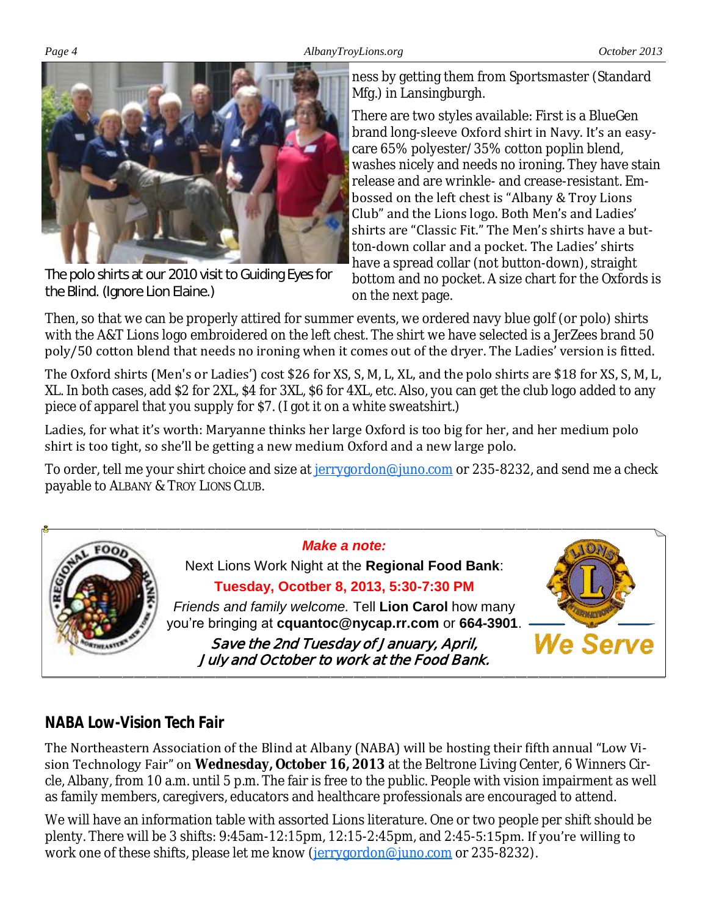#### *Page 4 AlbanyTroyLions.org October 2013*



The polo shirts at our 2010 visit to Guiding Eyes for the Blind. (Ignore Lion Elaine.)

ness by getting them from Sportsmaster (Standard Mfg.) in Lansingburgh.

There are two styles available: First is a BlueGen brand long-sleeve Oxford shirt in Navy. It's an easycare 65% polyester/35% cotton poplin blend, washes nicely and needs no ironing. They have stain release and are wrinkle- and crease-resistant. Embossed on the left chest is "Albany & Troy Lions Club" and the Lions logo. Both Men's and Ladies' shirts are "Classic Fit." The Men's shirts have a button-down collar and a pocket. The Ladies' shirts have a spread collar (not button-down), straight bottom and no pocket. A size chart for the Oxfords is on the next page.

Then, so that we can be properly attired for summer events, we ordered navy blue golf (or polo) shirts with the A&T Lions logo embroidered on the left chest. The shirt we have selected is a JerZees brand 50 poly/50 cotton blend that needs no ironing when it comes out of the dryer. The Ladies' version is fitted.

The Oxford shirts (Men's or Ladies') cost \$26 for XS, S, M, L, XL, and the polo shirts are \$18 for XS, S, M, L, XL. In both cases, add \$2 for 2XL, \$4 for 3XL, \$6 for 4XL, etc. Also, you can get the club logo added to any piece of apparel that you supply for \$7. (I got it on a white sweatshirt.)

Ladies, for what it's worth: Maryanne thinks her large Oxford is too big for her, and her medium polo shirt is too tight, so she'll be getting a new medium Oxford and a new large polo.

To order, tell me your shirt choice and size at [jerrygordon@juno.com](mailto:jerrygordon@juno.com) or 235-8232, and send me a check payable to ALBANY & TROY LIONS CLUB.



# *NABA Low-Vision Tech Fair*

The Northeastern Association of the Blind at Albany (NABA) will be hosting their fifth annual "Low Vision Technology Fair" on **Wednesday, October 16, 2013** at the Beltrone Living Center, 6 Winners Circle, Albany, from 10 a.m. until 5 p.m. The fair is free to the public. People with vision impairment as well as family members, caregivers, educators and healthcare professionals are encouraged to attend.

We will have an information table with assorted Lions literature. One or two people per shift should be plenty. There will be 3 shifts: 9:45am-12:15pm, 12:15-2:45pm, and 2:45-5:15pm. If you're willing to work one of these shifts, please let me know [\(jerrygordon@juno.com](mailto:jerrygordon@juno.com) or 235-8232).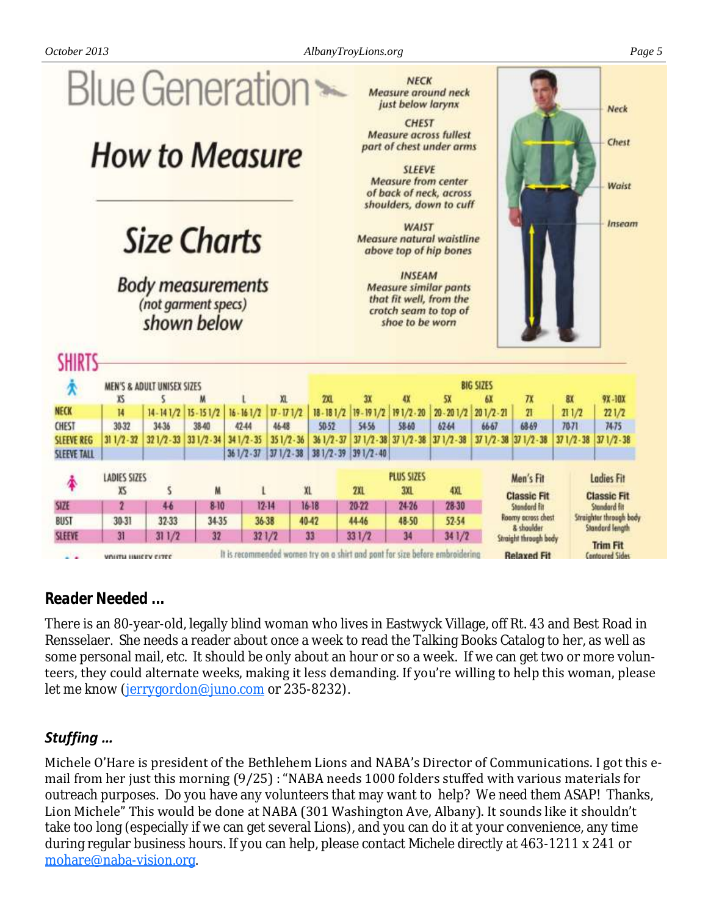*October 2013 AlbanyTroyLions.org Page 5*



#### *Reader Needed ...*

There is an 80-year-old, legally blind woman who lives in Eastwyck Village, off Rt. 43 and Best Road in Rensselaer. She needs a reader about once a week to read the Talking Books Catalog to her, as well as some personal mail, etc. It should be only about an hour or so a week. If we can get two or more volunteers, they could alternate weeks, making it less demanding. If you're willing to help this woman, please let me know ([jerrygordon@juno.com](mailto:jerrygordon@juno.com) or 235-8232).

#### *Stuffing …*

Michele O'Hare is president of the Bethlehem Lions and NABA's Director of Communications. I got this email from her just this morning (9/25) : "NABA needs 1000 folders stuffed with various materials for outreach purposes. Do you have any volunteers that may want to help? We need them ASAP! Thanks, Lion Michele" This would be done at NABA (301 Washington Ave, Albany). It sounds like it shouldn't take too long (especially if we can get several Lions), and you can do it at your convenience, any time during regular business hours. If you can help, please contact Michele directly at 463-1211 x 241 or [mohare@naba-vision.org.](mailto:mohare@naba-vision.org)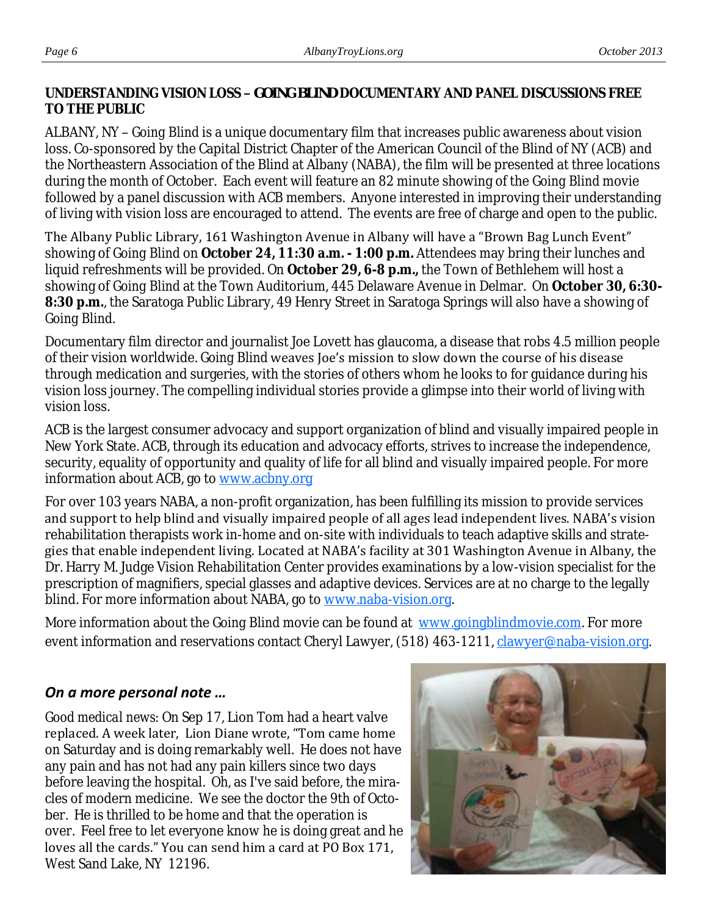**UNDERSTANDING VISION LOSS –** *GOING BLIND* **DOCUMENTARY AND PANEL DISCUSSIONS FREE TO THE PUBLIC**

ALBANY, NY – *Going Blind* is a unique documentary film that increases public awareness about vision loss. Co-sponsored by the Capital District Chapter of the American Council of the Blind of NY (ACB) and the Northeastern Association of the Blind at Albany (NABA), the film will be presented at three locations during the month of October. Each event will feature an 82 minute showing of the *Going Blind* movie followed by a panel discussion with ACB members. Anyone interested in improving their understanding of living with vision loss are encouraged to attend. The events are free of charge and open to the public.

The Albany Public Library, 161 Washington Avenue in Albany will have a "Brown Bag Lunch Event" showing of *Going Blind* on **October 24, 11:30 a.m. - 1:00 p.m.** Attendees may bring their lunches and liquid refreshments will be provided. On **October 29, 6-8 p.m.,** the Town of Bethlehem will host a showing of *Going Blind* at the Town Auditorium, 445 Delaware Avenue in Delmar. On **October 30, 6:30- 8:30 p.m.**, the Saratoga Public Library, 49 Henry Street in Saratoga Springs will also have a showing of *Going Blind*.

Documentary film director and journalist Joe Lovett has glaucoma, a disease that robs 4.5 million people of their vision worldwide. *Going Blind* weaves Joe's mission to slow down the course of his disease through medication and surgeries, with the stories of others whom he looks to for guidance during his vision loss journey. The compelling individual stories provide a glimpse into their world of living with vision loss.

ACB is the largest consumer advocacy and support organization of blind and visually impaired people in New York State. ACB, through its education and advocacy efforts, strives to increase the independence, security, equality of opportunity and quality of life for all blind and visually impaired people. For more information about ACB, go to [www.acbny.org](http://www.acbny.org)

For over 103 years NABA, a non-profit organization, has been fulfilling its mission to provide services and support to help blind and visually impaired people of all ages lead independent lives. NABA's vision rehabilitation therapists work in-home and on-site with individuals to teach adaptive skills and strategies that enable independent living. Located at NABA's facility at 301 Washington Avenue in Albany, the Dr. Harry M. Judge Vision Rehabilitation Center provides examinations by a low-vision specialist for the prescription of magnifiers, special glasses and adaptive devices. Services are at no charge to the legally blind. For more information about NABA, go to [www.naba-vision.org.](http://www.naba-vision.org)

More information about the *Going Blind* movie can be found at [www.goingblindmovie.com.](http://www.goingblindmovie.com) For more event information and reservations contact Cheryl Lawyer, (518) 463-1211, *clawyer@naba-vision.org.* 

#### *On a more personal note …*

*Good medical news:* On Sep 17, Lion Tom had a heart valve replaced. A week later, Lion Diane wrote, "Tom came home on Saturday and is doing remarkably well. He does not have any pain and has not had any pain killers since two days before leaving the hospital. Oh, as I've said before, the miracles of modern medicine. We see the doctor the 9th of October. He is thrilled to be home and that the operation is over. Feel free to let everyone know he is doing great and he loves all the cards." You can send him a card at PO Box 171, West Sand Lake, NY 12196.

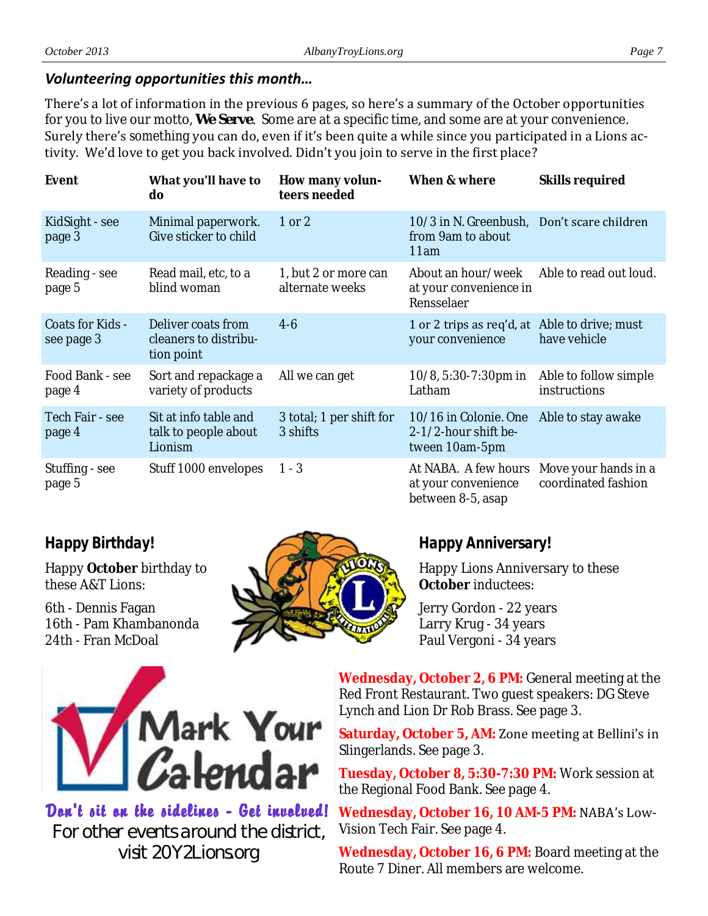#### *Volunteering opportunities this month…*

There's a lot of information in the previous 6 pages, so here's a summary of the October opportunities for you to live our motto, *We Serve*. Some are at a specific time, and some are at your convenience. Surely there's *something* you can do, even if it's been quite a while since you participated in a Lions activity. We'd love to get you back involved. Didn't you join to serve in the first place?

| Event                          | What you'll have to<br>do                                 | How many volun-<br>teers needed         | When & where                                                            | Skills required                             |
|--------------------------------|-----------------------------------------------------------|-----------------------------------------|-------------------------------------------------------------------------|---------------------------------------------|
| KidSight - see<br>page 3       | Minimal paperwork.<br>Give sticker to child               | $1$ or $2$                              | 10/3 in N. Greenbush, Don't scare children<br>from 9am to about<br>11am |                                             |
| Reading - see<br>page 5        | Read mail, etc, to a<br>blind woman                       | 1, but 2 or more can<br>alternate weeks | About an hour/week<br>at your convenience in<br>Rensselaer              | Able to read out loud.                      |
| Coats for Kids -<br>see page 3 | Deliver coats from<br>cleaners to distribu-<br>tion point | $4-6$                                   | 1 or 2 trips as req'd, at Able to drive; must<br>your convenience       | have vehicle                                |
| Food Bank - see<br>page 4      | Sort and repackage a<br>variety of products               | All we can get                          | 10/8, 5:30-7:30pm in<br>Latham                                          | Able to follow simple<br>instructions       |
| Tech Fair - see<br>page 4      | Sit at info table and<br>talk to people about<br>Lionism  | 3 total; 1 per shift for<br>3 shifts    | 10/16 in Colonie. One<br>2-1/2-hour shift be-<br>tween 10am-5pm         | Able to stay awake                          |
| Stuffing - see<br>page 5       | Stuff 1000 envelopes                                      | $1 - 3$                                 | At NABA. A few hours<br>at your convenience<br>between 8-5, asap        | Move your hands in a<br>coordinated fashion |

#### *Happy Birthday!*

Happy **October** birthday to these A&T Lions:

6th - Dennis Fagan 16th - Pam Khambanonda 24th - Fran McDoal



#### *Happy Anniversary!*

Happy Lions Anniversary to these **October** inductees:

Jerry Gordon - 22 years Larry Krug - 34 years Paul Vergoni - 34 years



Dan't sit an the sidelines - Get invalued! For other events around the district, visit 20Y2Lions.org

**Wednesday, October 2, 6 PM:** General meeting at the Red Front Restaurant. Two guest speakers: DG Steve Lynch and Lion Dr Rob Brass. See page 3.

**Saturday, October 5, AM:** Zone meeting at Bellini's in Slingerlands. See page 3.

**Tuesday, October 8, 5:30-7:30 PM:** Work session at the Regional Food Bank. See page 4.

**Wednesday, October 16, 10 AM-5 PM:** NABA's Low-Vision Tech Fair. See page 4.

**Wednesday, October 16, 6 PM:** Board meeting at the Route 7 Diner. All members are welcome.